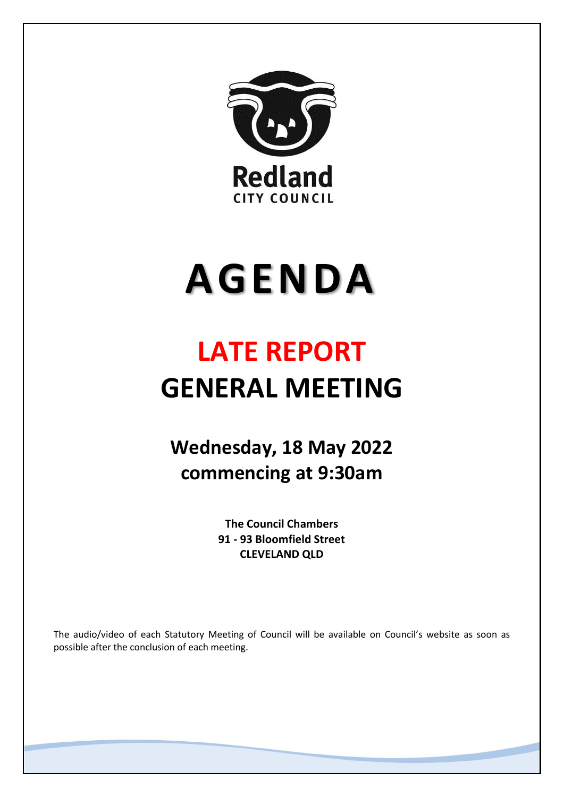

# **AGENDA**

# **LATE REPORT GENERAL MEETING**

**Wednesday, 18 May 2022 commencing at 9:30am**

> **The Council Chambers 91 - 93 Bloomfield Street CLEVELAND QLD**

The audio/video of each Statutory Meeting of Council will be available on Council's website as soon as possible after the conclusion of each meeting.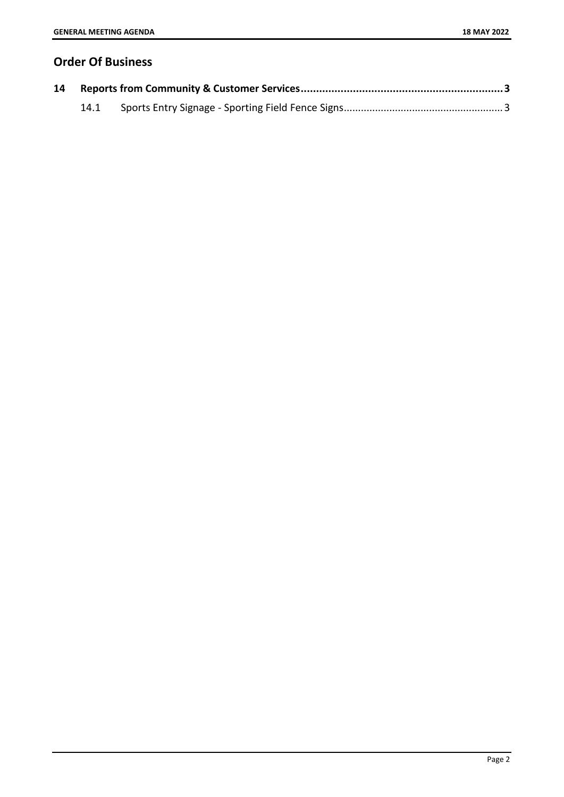# **Order Of Business**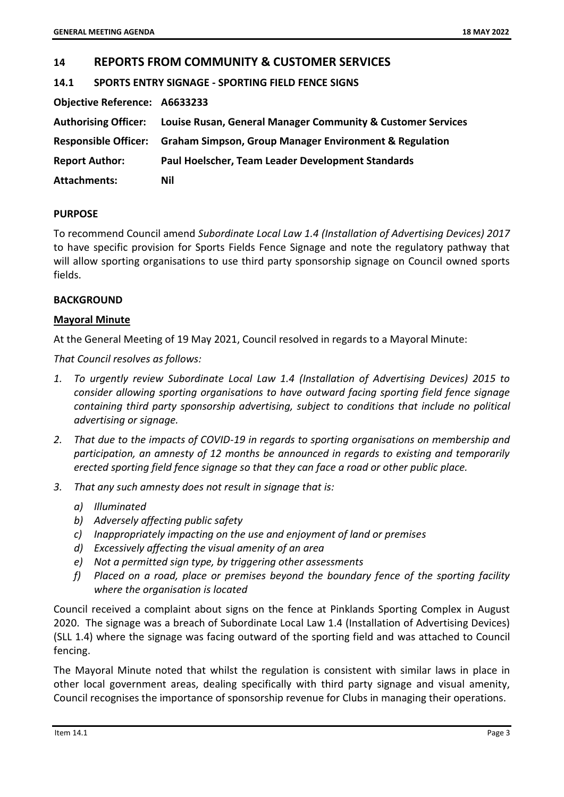## <span id="page-2-0"></span>**14 REPORTS FROM COMMUNITY & CUSTOMER SERVICES**

<span id="page-2-1"></span>**14.1 SPORTS ENTRY SIGNAGE - SPORTING FIELD FENCE SIGNS**

**Objective Reference: A6633233**

| <b>Authorising Officer:</b> | Louise Rusan, General Manager Community & Customer Services                 |
|-----------------------------|-----------------------------------------------------------------------------|
|                             | Responsible Officer: Graham Simpson, Group Manager Environment & Regulation |
| <b>Report Author:</b>       | Paul Hoelscher, Team Leader Development Standards                           |
| <b>Attachments:</b>         | Nil                                                                         |

#### **PURPOSE**

To recommend Council amend *Subordinate Local Law 1.4 (Installation of Advertising Devices) 2017* to have specific provision for Sports Fields Fence Signage and note the regulatory pathway that will allow sporting organisations to use third party sponsorship signage on Council owned sports fields.

#### **BACKGROUND**

#### **Mayoral Minute**

At the General Meeting of 19 May 2021, Council resolved in regards to a Mayoral Minute:

*That Council resolves as follows:* 

- *1. To urgently review Subordinate Local Law 1.4 (Installation of Advertising Devices) 2015 to consider allowing sporting organisations to have outward facing sporting field fence signage containing third party sponsorship advertising, subject to conditions that include no political advertising or signage.*
- *2. That due to the impacts of COVID-19 in regards to sporting organisations on membership and participation, an amnesty of 12 months be announced in regards to existing and temporarily erected sporting field fence signage so that they can face a road or other public place.*
- *3. That any such amnesty does not result in signage that is:* 
	- *a) Illuminated*
	- *b) Adversely affecting public safety*
	- *c) Inappropriately impacting on the use and enjoyment of land or premises*
	- *d) Excessively affecting the visual amenity of an area*
	- *e) Not a permitted sign type, by triggering other assessments*
	- *f) Placed on a road, place or premises beyond the boundary fence of the sporting facility where the organisation is located*

Council received a complaint about signs on the fence at Pinklands Sporting Complex in August 2020. The signage was a breach of Subordinate Local Law 1.4 (Installation of Advertising Devices) (SLL 1.4) where the signage was facing outward of the sporting field and was attached to Council fencing.

The Mayoral Minute noted that whilst the regulation is consistent with similar laws in place in other local government areas, dealing specifically with third party signage and visual amenity, Council recognises the importance of sponsorship revenue for Clubs in managing their operations.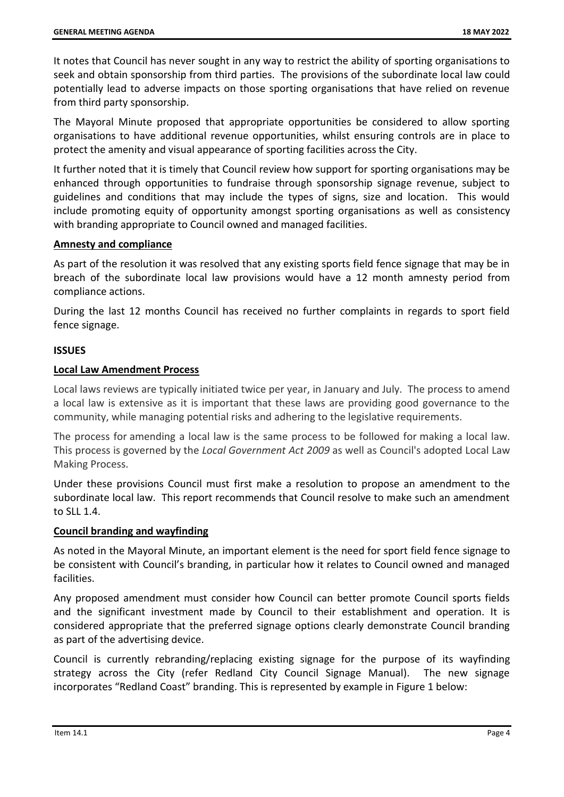It notes that Council has never sought in any way to restrict the ability of sporting organisations to seek and obtain sponsorship from third parties. The provisions of the subordinate local law could potentially lead to adverse impacts on those sporting organisations that have relied on revenue from third party sponsorship.

The Mayoral Minute proposed that appropriate opportunities be considered to allow sporting organisations to have additional revenue opportunities, whilst ensuring controls are in place to protect the amenity and visual appearance of sporting facilities across the City.

It further noted that it is timely that Council review how support for sporting organisations may be enhanced through opportunities to fundraise through sponsorship signage revenue, subject to guidelines and conditions that may include the types of signs, size and location. This would include promoting equity of opportunity amongst sporting organisations as well as consistency with branding appropriate to Council owned and managed facilities.

#### **Amnesty and compliance**

As part of the resolution it was resolved that any existing sports field fence signage that may be in breach of the subordinate local law provisions would have a 12 month amnesty period from compliance actions.

During the last 12 months Council has received no further complaints in regards to sport field fence signage.

### **ISSUES**

#### **Local Law Amendment Process**

Local laws reviews are typically initiated twice per year, in January and July. The process to amend a local law is extensive as it is important that these laws are providing good governance to the community, while managing potential risks and adhering to the legislative requirements.

The process for amending a local law is the same process to be followed for making a local law. This process is governed by the *Local Government Act 2009* as well as Council's adopted Local Law Making Process.

Under these provisions Council must first make a resolution to propose an amendment to the subordinate local law. This report recommends that Council resolve to make such an amendment to SLL 1.4.

#### **Council branding and wayfinding**

As noted in the Mayoral Minute, an important element is the need for sport field fence signage to be consistent with Council's branding, in particular how it relates to Council owned and managed facilities.

Any proposed amendment must consider how Council can better promote Council sports fields and the significant investment made by Council to their establishment and operation. It is considered appropriate that the preferred signage options clearly demonstrate Council branding as part of the advertising device.

Council is currently rebranding/replacing existing signage for the purpose of its wayfinding strategy across the City (refer Redland City Council Signage Manual). The new signage incorporates "Redland Coast" branding. This is represented by example in Figure 1 below: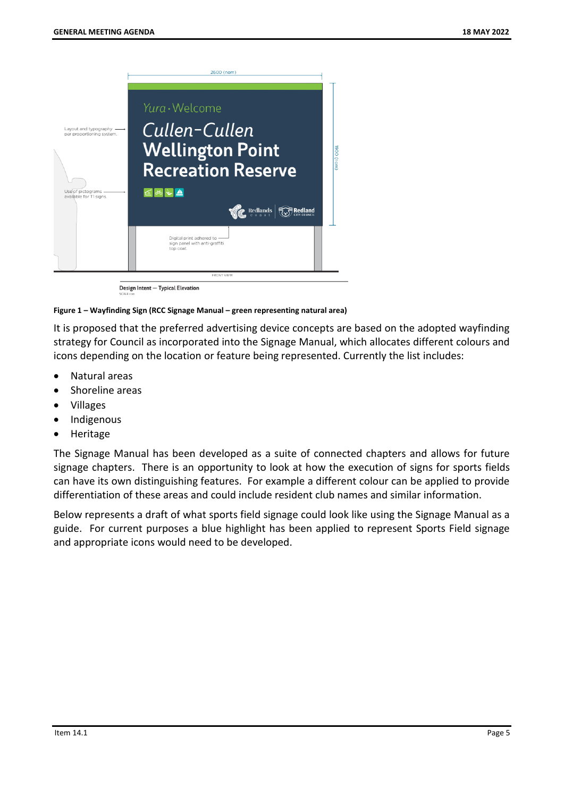

Design Intent - Typical Elevation

#### **Figure 1 – Wayfinding Sign (RCC Signage Manual – green representing natural area)**

It is proposed that the preferred advertising device concepts are based on the adopted wayfinding strategy for Council as incorporated into the Signage Manual, which allocates different colours and icons depending on the location or feature being represented. Currently the list includes:

- Natural areas
- Shoreline areas
- Villages
- Indigenous
- Heritage

The Signage Manual has been developed as a suite of connected chapters and allows for future signage chapters. There is an opportunity to look at how the execution of signs for sports fields can have its own distinguishing features. For example a different colour can be applied to provide differentiation of these areas and could include resident club names and similar information.

Below represents a draft of what sports field signage could look like using the Signage Manual as a guide. For current purposes a blue highlight has been applied to represent Sports Field signage and appropriate icons would need to be developed.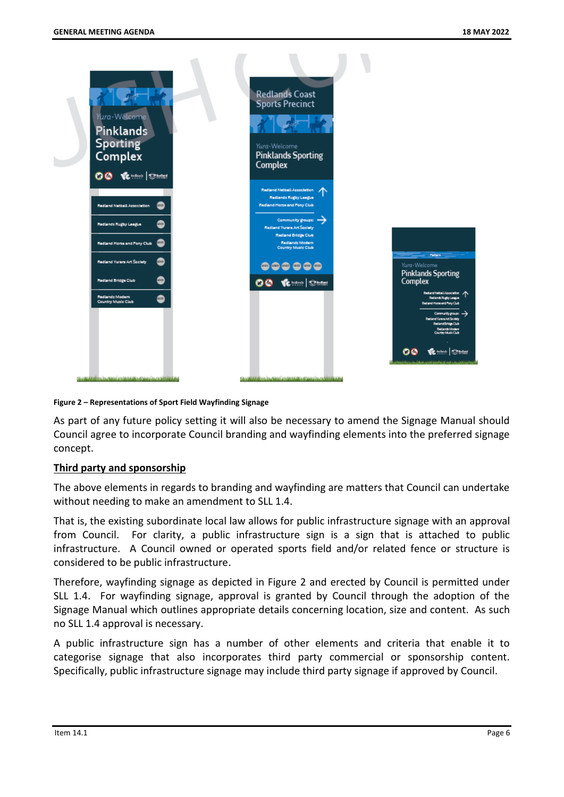

**Figure 2 – Representations of Sport Field Wayfinding Signage**

As part of any future policy setting it will also be necessary to amend the Signage Manual should Council agree to incorporate Council branding and wayfinding elements into the preferred signage concept.

#### **Third party and sponsorship**

The above elements in regards to branding and wayfinding are matters that Council can undertake without needing to make an amendment to SLL 1.4.

That is, the existing subordinate local law allows for public infrastructure signage with an approval from Council. For clarity, a public infrastructure sign is a sign that is attached to public infrastructure. A Council owned or operated sports field and/or related fence or structure is considered to be public infrastructure.

Therefore, wayfinding signage as depicted in Figure 2 and erected by Council is permitted under SLL 1.4. For wayfinding signage, approval is granted by Council through the adoption of the Signage Manual which outlines appropriate details concerning location, size and content. As such no SLL 1.4 approval is necessary.

A public infrastructure sign has a number of other elements and criteria that enable it to categorise signage that also incorporates third party commercial or sponsorship content. Specifically, public infrastructure signage may include third party signage if approved by Council.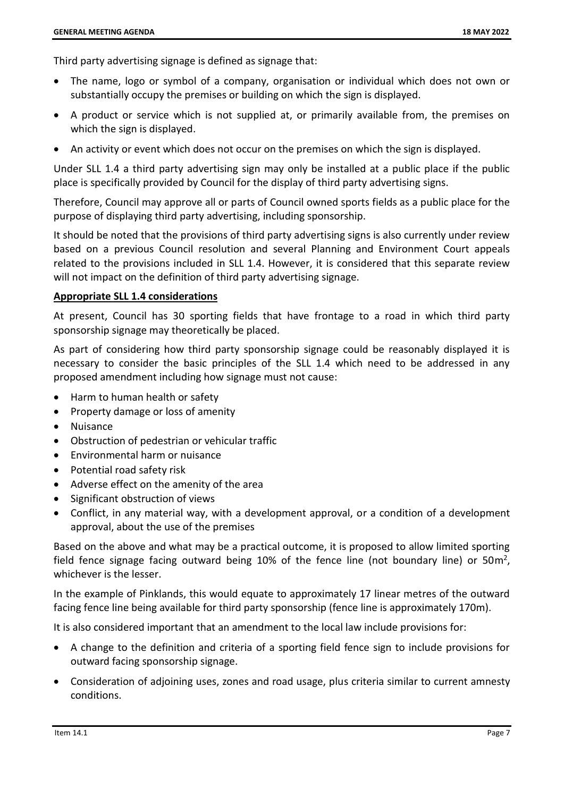Third party advertising signage is defined as signage that:

- The name, logo or symbol of a company, organisation or individual which does not own or substantially occupy the premises or building on which the sign is displayed.
- A product or service which is not supplied at, or primarily available from, the premises on which the sign is displayed.
- An activity or event which does not occur on the premises on which the sign is displayed.

Under SLL 1.4 a third party advertising sign may only be installed at a public place if the public place is specifically provided by Council for the display of third party advertising signs.

Therefore, Council may approve all or parts of Council owned sports fields as a public place for the purpose of displaying third party advertising, including sponsorship.

It should be noted that the provisions of third party advertising signs is also currently under review based on a previous Council resolution and several Planning and Environment Court appeals related to the provisions included in SLL 1.4. However, it is considered that this separate review will not impact on the definition of third party advertising signage.

#### **Appropriate SLL 1.4 considerations**

At present, Council has 30 sporting fields that have frontage to a road in which third party sponsorship signage may theoretically be placed.

As part of considering how third party sponsorship signage could be reasonably displayed it is necessary to consider the basic principles of the SLL 1.4 which need to be addressed in any proposed amendment including how signage must not cause:

- Harm to human health or safety
- Property damage or loss of amenity
- Nuisance
- Obstruction of pedestrian or vehicular traffic
- Environmental harm or nuisance
- Potential road safety risk
- Adverse effect on the amenity of the area
- Significant obstruction of views
- Conflict, in any material way, with a development approval, or a condition of a development approval, about the use of the premises

Based on the above and what may be a practical outcome, it is proposed to allow limited sporting field fence signage facing outward being 10% of the fence line (not boundary line) or 50 $m^2$ , whichever is the lesser.

In the example of Pinklands, this would equate to approximately 17 linear metres of the outward facing fence line being available for third party sponsorship (fence line is approximately 170m).

It is also considered important that an amendment to the local law include provisions for:

- A change to the definition and criteria of a sporting field fence sign to include provisions for outward facing sponsorship signage.
- Consideration of adjoining uses, zones and road usage, plus criteria similar to current amnesty conditions.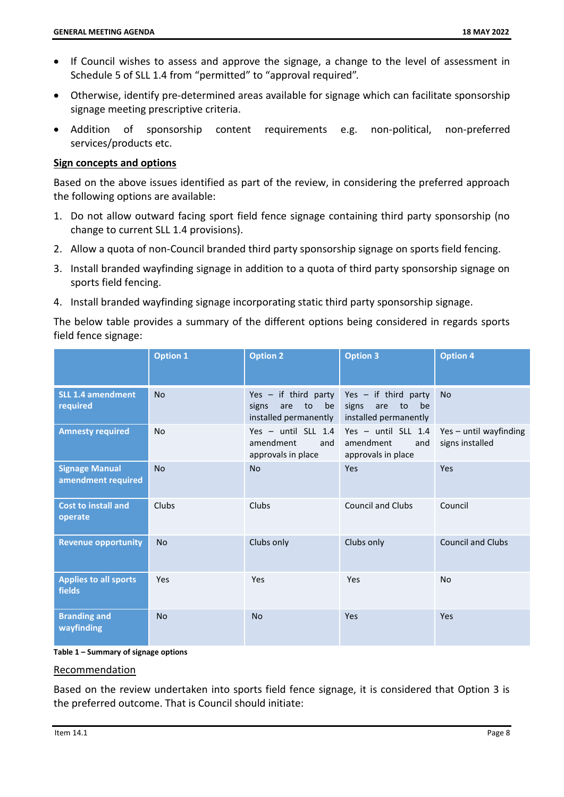- If Council wishes to assess and approve the signage, a change to the level of assessment in Schedule 5 of SLL 1.4 from "permitted" to "approval required".
- Otherwise, identify pre-determined areas available for signage which can facilitate sponsorship signage meeting prescriptive criteria.
- Addition of sponsorship content requirements e.g. non-political, non-preferred services/products etc.

#### **Sign concepts and options**

Based on the above issues identified as part of the review, in considering the preferred approach the following options are available:

- 1. Do not allow outward facing sport field fence signage containing third party sponsorship (no change to current SLL 1.4 provisions).
- 2. Allow a quota of non-Council branded third party sponsorship signage on sports field fencing.
- 3. Install branded wayfinding signage in addition to a quota of third party sponsorship signage on sports field fencing.
- 4. Install branded wayfinding signage incorporating static third party sponsorship signage.

The below table provides a summary of the different options being considered in regards sports field fence signage:

|                                             | <b>Option 1</b> | <b>Option 2</b>                                                             | <b>Option 3</b>                                                             | <b>Option 4</b>                           |
|---------------------------------------------|-----------------|-----------------------------------------------------------------------------|-----------------------------------------------------------------------------|-------------------------------------------|
| <b>SLL 1.4 amendment</b><br>required        | <b>No</b>       | Yes $-$ if third party<br>signs<br>are<br>to<br>be<br>installed permanently | Yes $-$ if third party<br>signs<br>be<br>are<br>to<br>installed permanently | <b>No</b>                                 |
| <b>Amnesty required</b>                     | <b>No</b>       | Yes - until SLL 1.4<br>amendment<br>and<br>approvals in place               | Yes - until SLL 1.4<br>amendment<br>and<br>approvals in place               | Yes - until wayfinding<br>signs installed |
| <b>Signage Manual</b><br>amendment required | <b>No</b>       | <b>No</b>                                                                   | Yes                                                                         | Yes                                       |
| <b>Cost to install and</b><br>operate       | Clubs           | Clubs                                                                       | <b>Council and Clubs</b>                                                    | Council                                   |
| <b>Revenue opportunity</b>                  | <b>No</b>       | Clubs only                                                                  | Clubs only                                                                  | <b>Council and Clubs</b>                  |
| <b>Applies to all sports</b><br>fields      | Yes             | Yes                                                                         | Yes                                                                         | <b>No</b>                                 |
| <b>Branding and</b><br>wayfinding           | <b>No</b>       | <b>No</b>                                                                   | Yes                                                                         | Yes                                       |

**Table 1 – Summary of signage options**

#### Recommendation

Based on the review undertaken into sports field fence signage, it is considered that Option 3 is the preferred outcome. That is Council should initiate: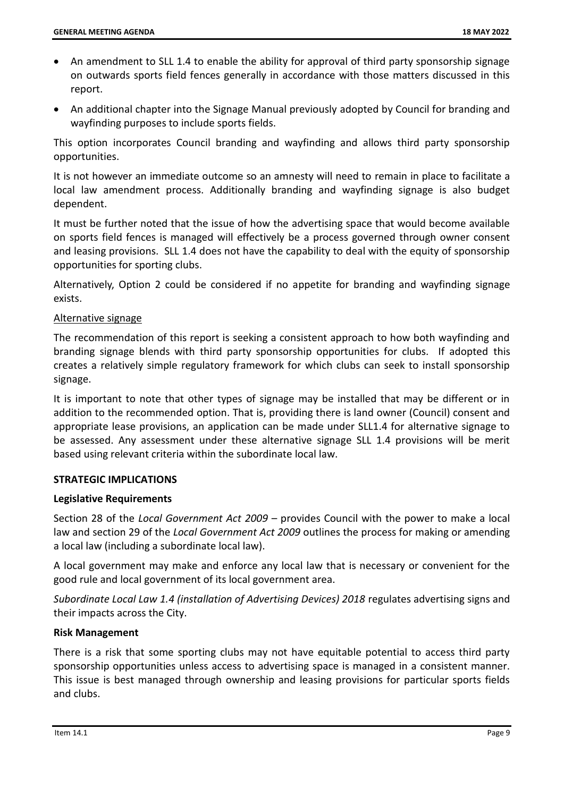- An amendment to SLL 1.4 to enable the ability for approval of third party sponsorship signage on outwards sports field fences generally in accordance with those matters discussed in this report.
- An additional chapter into the Signage Manual previously adopted by Council for branding and wayfinding purposes to include sports fields.

This option incorporates Council branding and wayfinding and allows third party sponsorship opportunities.

It is not however an immediate outcome so an amnesty will need to remain in place to facilitate a local law amendment process. Additionally branding and wayfinding signage is also budget dependent.

It must be further noted that the issue of how the advertising space that would become available on sports field fences is managed will effectively be a process governed through owner consent and leasing provisions. SLL 1.4 does not have the capability to deal with the equity of sponsorship opportunities for sporting clubs.

Alternatively, Option 2 could be considered if no appetite for branding and wayfinding signage exists.

#### Alternative signage

The recommendation of this report is seeking a consistent approach to how both wayfinding and branding signage blends with third party sponsorship opportunities for clubs. If adopted this creates a relatively simple regulatory framework for which clubs can seek to install sponsorship signage.

It is important to note that other types of signage may be installed that may be different or in addition to the recommended option. That is, providing there is land owner (Council) consent and appropriate lease provisions, an application can be made under SLL1.4 for alternative signage to be assessed. Any assessment under these alternative signage SLL 1.4 provisions will be merit based using relevant criteria within the subordinate local law.

#### **STRATEGIC IMPLICATIONS**

#### **Legislative Requirements**

Section 28 of the *Local Government Act 2009* – provides Council with the power to make a local law and section 29 of the *Local Government Act 2009* outlines the process for making or amending a local law (including a subordinate local law).

A local government may make and enforce any local law that is necessary or convenient for the good rule and local government of its local government area.

*Subordinate Local Law 1.4 (installation of Advertising Devices) 2018* regulates advertising signs and their impacts across the City.

#### **Risk Management**

There is a risk that some sporting clubs may not have equitable potential to access third party sponsorship opportunities unless access to advertising space is managed in a consistent manner. This issue is best managed through ownership and leasing provisions for particular sports fields and clubs.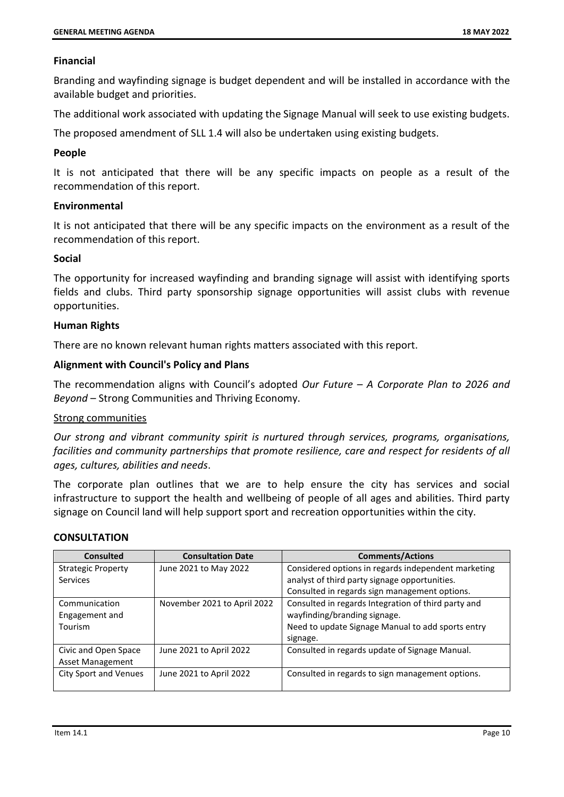#### **Financial**

Branding and wayfinding signage is budget dependent and will be installed in accordance with the available budget and priorities.

The additional work associated with updating the Signage Manual will seek to use existing budgets.

The proposed amendment of SLL 1.4 will also be undertaken using existing budgets.

#### **People**

It is not anticipated that there will be any specific impacts on people as a result of the recommendation of this report.

#### **Environmental**

It is not anticipated that there will be any specific impacts on the environment as a result of the recommendation of this report.

#### **Social**

The opportunity for increased wayfinding and branding signage will assist with identifying sports fields and clubs. Third party sponsorship signage opportunities will assist clubs with revenue opportunities.

#### **Human Rights**

There are no known relevant human rights matters associated with this report.

#### **Alignment with Council's Policy and Plans**

The recommendation aligns with Council's adopted *Our Future – A Corporate Plan to 2026 and Beyond* – Strong Communities and Thriving Economy.

#### Strong communities

*Our strong and vibrant community spirit is nurtured through services, programs, organisations, facilities and community partnerships that promote resilience, care and respect for residents of all ages, cultures, abilities and needs*.

The corporate plan outlines that we are to help ensure the city has services and social infrastructure to support the health and wellbeing of people of all ages and abilities. Third party signage on Council land will help support sport and recreation opportunities within the city.

#### **CONSULTATION**

| <b>Consulted</b>             | <b>Consultation Date</b>    | <b>Comments/Actions</b>                             |  |
|------------------------------|-----------------------------|-----------------------------------------------------|--|
| <b>Strategic Property</b>    | June 2021 to May 2022       | Considered options in regards independent marketing |  |
| Services                     |                             | analyst of third party signage opportunities.       |  |
|                              |                             | Consulted in regards sign management options.       |  |
| Communication                | November 2021 to April 2022 | Consulted in regards Integration of third party and |  |
| Engagement and               |                             | wayfinding/branding signage.                        |  |
| Tourism                      |                             | Need to update Signage Manual to add sports entry   |  |
|                              |                             | signage.                                            |  |
| Civic and Open Space         | June 2021 to April 2022     | Consulted in regards update of Signage Manual.      |  |
| <b>Asset Management</b>      |                             |                                                     |  |
| <b>City Sport and Venues</b> | June 2021 to April 2022     | Consulted in regards to sign management options.    |  |
|                              |                             |                                                     |  |